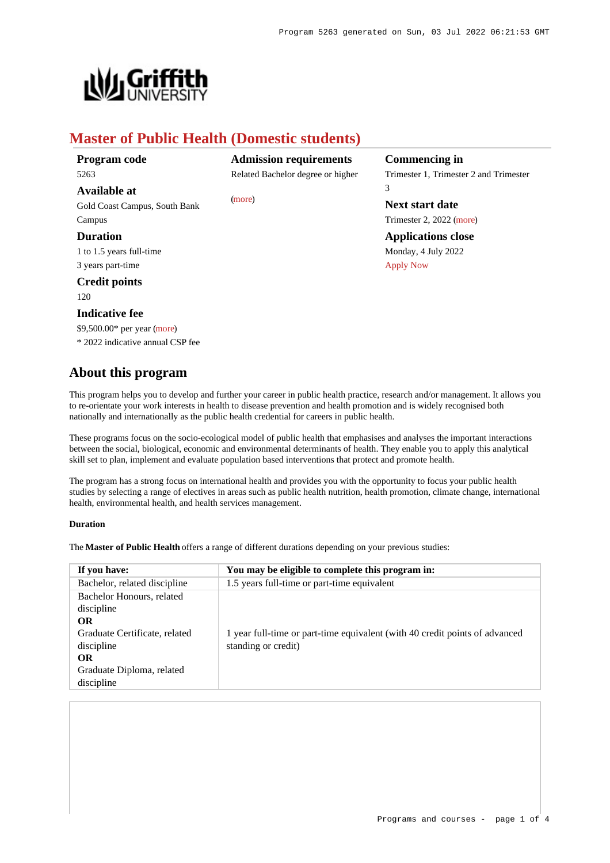

# **Master of Public Health (Domestic students)**

| Program code |  |
|--------------|--|
| 5263         |  |

**Available at**

Gold Coast Campus, South Bank Campus

# **Duration**

1 to 1.5 years full-time 3 years part-time

# **Credit points**

120

# **Indicative fee**

\$9,500.00\* per year [\(more](https://www148.griffith.edu.au/programs-courses/Program/5263/Overview/Domestic#fees)) \* 2022 indicative annual CSP fee **Admission requirements** Related Bachelor degree or higher

[\(more](https://www148.griffith.edu.au/programs-courses/Program/5263/HowToApply/Domestic#can-i-apply))

**Commencing in** Trimester 1, Trimester 2 and Trimester 3

**Next start date** Trimester 2, 2022 [\(more](https://www148.griffith.edu.au/programs-courses/Program/5263/HowToApply/Domestic))

**Applications close** Monday, 4 July 2022 [Apply Now](https://www148.griffith.edu.au/programs-courses/Program/5263/Overview/Domestic#)

# **About this program**

This program helps you to develop and further your career in public health practice, research and/or management. It allows you to re-orientate your work interests in health to disease prevention and health promotion and is widely recognised both nationally and internationally as the public health credential for careers in public health.

These programs focus on the socio-ecological model of public health that emphasises and analyses the important interactions between the social, biological, economic and environmental determinants of health. They enable you to apply this analytical skill set to plan, implement and evaluate population based interventions that protect and promote health.

The program has a strong focus on international health and provides you with the opportunity to focus your public health studies by selecting a range of electives in areas such as public health nutrition, health promotion, climate change, international health, environmental health, and health services management.

# **Duration**

The **Master of Public Health** offers a range of different durations depending on your previous studies:

| You may be eligible to complete this program in:                            |  |
|-----------------------------------------------------------------------------|--|
| 1.5 years full-time or part-time equivalent                                 |  |
|                                                                             |  |
|                                                                             |  |
|                                                                             |  |
| 1 year full-time or part-time equivalent (with 40 credit points of advanced |  |
| standing or credit)                                                         |  |
|                                                                             |  |
|                                                                             |  |
|                                                                             |  |
|                                                                             |  |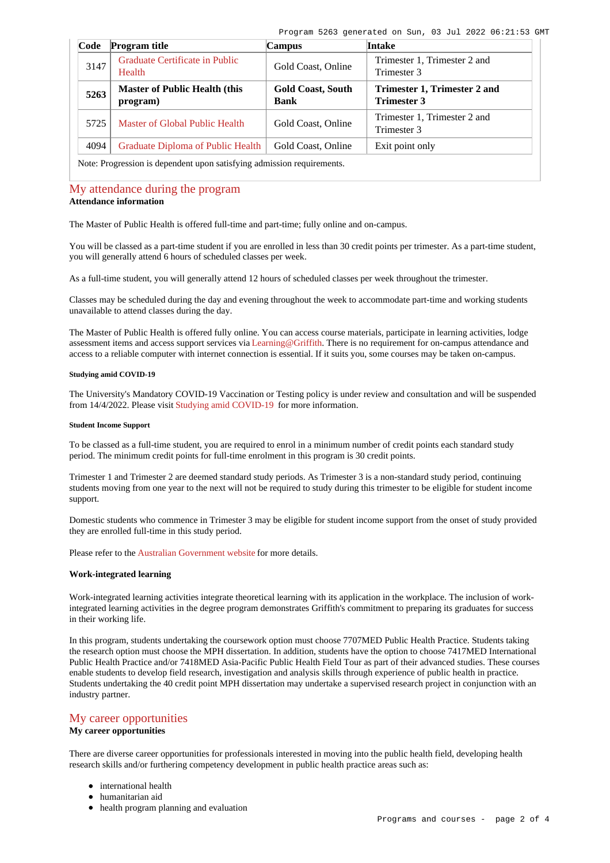| Code                                                                   | <b>Program title</b>                             | Campus                                  | <b>Intake</b>                                      |  |
|------------------------------------------------------------------------|--------------------------------------------------|-----------------------------------------|----------------------------------------------------|--|
| 3147                                                                   | Graduate Certificate in Public<br>Health         | Gold Coast, Online                      | Trimester 1, Trimester 2 and<br>Trimester 3        |  |
| 5263                                                                   | <b>Master of Public Health (this</b><br>program) | <b>Gold Coast, South</b><br><b>Bank</b> | Trimester 1, Trimester 2 and<br><b>Trimester 3</b> |  |
| 5725                                                                   | Master of Global Public Health                   | Gold Coast, Online                      | Trimester 1, Trimester 2 and<br>Trimester 3        |  |
| 4094                                                                   | Graduate Diploma of Public Health                | Gold Coast, Online                      | Exit point only                                    |  |
| Note: Progression is dependent upon satisfying admission requirements. |                                                  |                                         |                                                    |  |

[My attendance during the program](https://www148.griffith.edu.au/programs-courses/Program/5263/Overview/Domestic#attendance) **Attendance information**

# The Master of Public Health is offered full-time and part-time; fully online and on-campus.

You will be classed as a part-time student if you are enrolled in less than 30 credit points per trimester. As a part-time student, you will generally attend 6 hours of scheduled classes per week.

As a full-time student, you will generally attend 12 hours of scheduled classes per week throughout the trimester.

Classes may be scheduled during the day and evening throughout the week to accommodate part-time and working students unavailable to attend classes during the day.

The Master of Public Health is offered fully online. You can access course materials, participate in learning activities, lodge assessment items and access support services via [Learning@Griffith](https://learning.secure.griffith.edu.au/webapps/portal/frameset.jsp). There is no requirement for on-campus attendance and access to a reliable computer with internet connection is essential. If it suits you, some courses may be taken on-campus.

### **Studying amid COVID-19**

The University's Mandatory COVID-19 Vaccination or Testing policy is under review and consultation and will be suspended from 14/4/2022. Please visit [Studying amid COVID-19](https://www.griffith.edu.au/coronavirus/studying-amid-covid-19) for more information.

#### **Student Income Support**

To be classed as a full-time student, you are required to enrol in a minimum number of credit points each standard study period. The minimum credit points for full-time enrolment in this program is 30 credit points.

Trimester 1 and Trimester 2 are deemed standard study periods. As Trimester 3 is a non-standard study period, continuing students moving from one year to the next will not be required to study during this trimester to be eligible for student income support.

Domestic students who commence in Trimester 3 may be eligible for student income support from the onset of study provided they are enrolled full-time in this study period.

Please refer to the [Australian Government website](https://www.humanservices.gov.au/customer/dhs/centrelink) for more details.

#### **Work-integrated learning**

Work-integrated learning activities integrate theoretical learning with its application in the workplace. The inclusion of workintegrated learning activities in the degree program demonstrates Griffith's commitment to preparing its graduates for success in their working life.

In this program, students undertaking the coursework option must choose 7707MED Public Health Practice. Students taking the research option must choose the MPH dissertation. In addition, students have the option to choose 7417MED International Public Health Practice and/or 7418MED Asia-Pacific Public Health Field Tour as part of their advanced studies. These courses enable students to develop field research, investigation and analysis skills through experience of public health in practice. Students undertaking the 40 credit point MPH dissertation may undertake a supervised research project in conjunction with an industry partner.

# [My career opportunities](https://www148.griffith.edu.au/programs-courses/Program/5263/Overview/Domestic#opportunities)

# **My career opportunities**

There are diverse career opportunities for professionals interested in moving into the public health field, developing health research skills and/or furthering competency development in public health practice areas such as:

- international health
- humanitarian aid
- health program planning and evaluation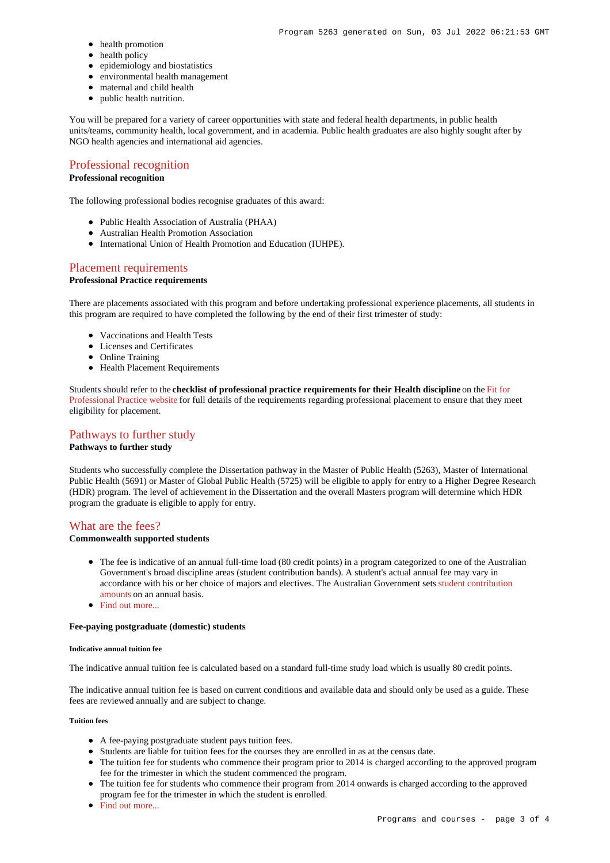- health promotion
- health policy
- epidemiology and biostatistics
- environmental health management
- maternal and child health
- public health nutrition.

You will be prepared for a variety of career opportunities with state and federal health departments, in public health units/teams, community health, local government, and in academia. Public health graduates are also highly sought after by NGO health agencies and international aid agencies.

# [Professional recognition](https://www148.griffith.edu.au/programs-courses/Program/5263/Overview/Domestic#recognition)

# **Professional recognition**

The following professional bodies recognise graduates of this award:

- Public Health Association of Australia (PHAA)
- Australian Health Promotion Association
- $\bullet$  International Union of Health Promotion and Education (IUHPE).

# [Placement requirements](https://www148.griffith.edu.au/programs-courses/Program/5263/Overview/Domestic#placement)

# **Professional Practice requirements**

There are placements associated with this program and before undertaking professional experience placements, all students in this program are required to have completed the following by the end of their first trimester of study:

- Vaccinations and Health Tests
- Licenses and Certificates
- Online Training
- Health Placement Requirements

Students should refer to the **checklist of professional practice requirements for their Health discipline** on the [Fit for](https://www.griffith.edu.au/griffith-health/fit-for-professional-practice) [Professional Practice website](https://www.griffith.edu.au/griffith-health/fit-for-professional-practice) for full details of the requirements regarding professional placement to ensure that they meet eligibility for placement.

# [Pathways to further study](https://www148.griffith.edu.au/programs-courses/Program/5263/Overview/Domestic#pathways)

# **Pathways to further study**

Students who successfully complete the Dissertation pathway in the Master of Public Health (5263), Master of International Public Health (5691) or Master of Global Public Health (5725) will be eligible to apply for entry to a Higher Degree Research (HDR) program. The level of achievement in the Dissertation and the overall Masters program will determine which HDR program the graduate is eligible to apply for entry.

#### [What are the fees?](https://www148.griffith.edu.au/programs-courses/Program/5263/Overview/Domestic#fees)

# **Commonwealth supported students**

- The fee is indicative of an annual full-time load (80 credit points) in a program categorized to one of the Australian Government's broad discipline areas (student contribution bands). A student's actual annual fee may vary in accordance with his or her choice of majors and electives. The Australian Government sets [student contribution](http://studyassist.gov.au/sites/studyassist/helppayingmyfees/csps/pages/student-contribution-amounts) [amounts](http://studyassist.gov.au/sites/studyassist/helppayingmyfees/csps/pages/student-contribution-amounts) on an annual basis.
- Find out more...

## **Fee-paying postgraduate (domestic) students**

#### **Indicative annual tuition fee**

The indicative annual tuition fee is calculated based on a standard full-time study load which is usually 80 credit points.

The indicative annual tuition fee is based on current conditions and available data and should only be used as a guide. These fees are reviewed annually and are subject to change.

### **Tuition fees**

- A fee-paying postgraduate student pays tuition fees.
- Students are liable for tuition fees for the courses they are enrolled in as at the census date.
- The tuition fee for students who commence their program prior to 2014 is charged according to the approved program fee for the trimester in which the student commenced the program.
- The tuition fee for students who commence their program from 2014 onwards is charged according to the approved program fee for the trimester in which the student is enrolled.
- [Find out more...](https://www148.griffith.edu.au/programs-courses/Program/5263/Overview/Domestic#whatAreTheFees)